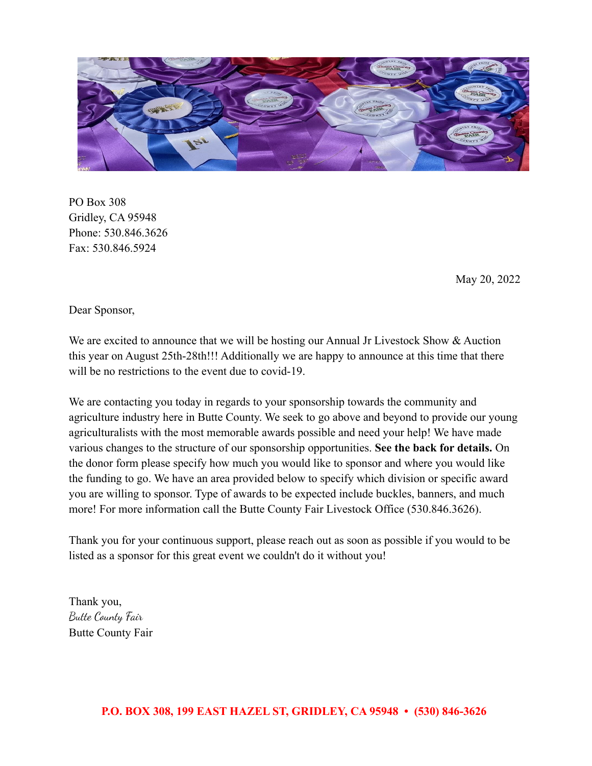

PO Box 308 Gridley, CA 95948 Phone: 530.846.3626 Fax: 530.846.5924

May 20, 2022

Dear Sponsor,

We are excited to announce that we will be hosting our Annual Jr Livestock Show & Auction this year on August 25th-28th!!! Additionally we are happy to announce at this time that there will be no restrictions to the event due to covid-19.

We are contacting you today in regards to your sponsorship towards the community and agriculture industry here in Butte County. We seek to go above and beyond to provide our young agriculturalists with the most memorable awards possible and need your help! We have made various changes to the structure of our sponsorship opportunities. **See the back for details.** On the donor form please specify how much you would like to sponsor and where you would like the funding to go. We have an area provided below to specify which division or specific award you are willing to sponsor. Type of awards to be expected include buckles, banners, and much more! For more information call the Butte County Fair Livestock Office (530.846.3626).

Thank you for your continuous support, please reach out as soon as possible if you would to be listed as a sponsor for this great event we couldn't do it without you!

Thank you, Butte County Fair Butte County Fair